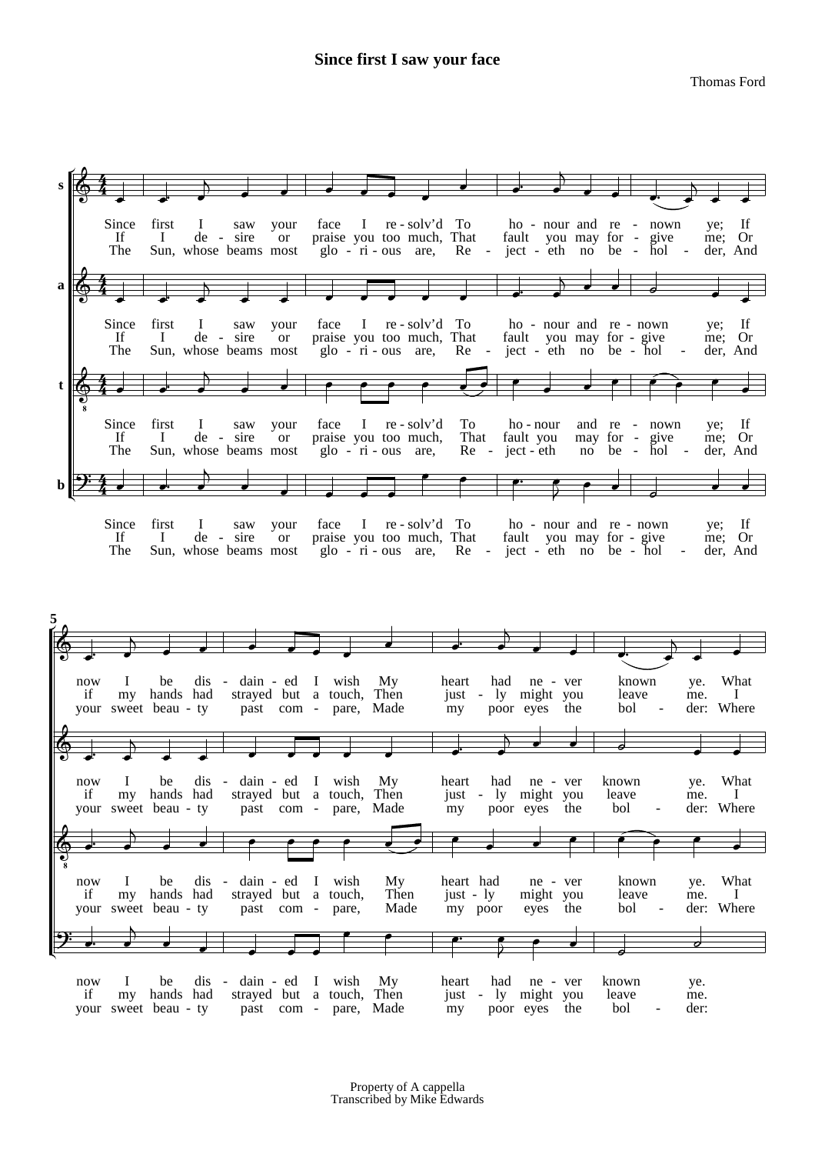## **Since first I saw your face**

Thomas Ford



your sweet beau - ty past com - pare, Made my poor eyes the bol - der: Where if we dis - dain - ed I wish My beart had ne - ver known ye. Wh<br>if my hands had strayed but a touch, Then just - ly might you leave me. I now I be dis - dain - ed I wish My heart had ne - ver known ye. What  $\oint$ . ' k k k k k k k kz k  $\begin{array}{|c|c|c|c|c|}\n\hline\n\end{array}$  $\overline{\phantom{0}}$ your sweet beau - ty past com - pare, Made my poor eyes the bol - der: Where if with the distrayed but a touch, then the iust ly- might you leave me. In the my hands had strayed but a touch, Then iust ly- might you leave me. I now I be dis - dain - ed I wish My heart had ne - ver - known ye. What  $\breve \Phi$  $\frac{1}{8}$  $\frac{1}{\sqrt{2}}$ ' k k k k k k k k k  $\overline{\phantom{a}}$ k k k k  $\frac{1}{\bullet}$ if my hands had strayed but a touch, Then just - ly might you leave me.<br>your sweet beau - ty past com - pare, Made my poor eyes the bol - der: now I be dis - dain - ed I wish My heart had ne - ver known ye.<br>if my hands had strayed but a touch, Then iust - ly might you leave me. now I be dis - dain - ed I wish My heart had ne - ver known ye.  $\frac{1}{2}$  $\frac{1}{\epsilon}$   $\frac{1}{\epsilon}$ '  $\overline{\phantom{a}}$  $\overline{\phantom{a}}$  $\begin{array}{c|c|c|c|c|c} \hline \bullet & \bullet & \bullet & \bullet \end{array}$  $\frac{2}{3}$  $\overline{\cdot}$   $\overline{\cdot}$ j<br>0 j